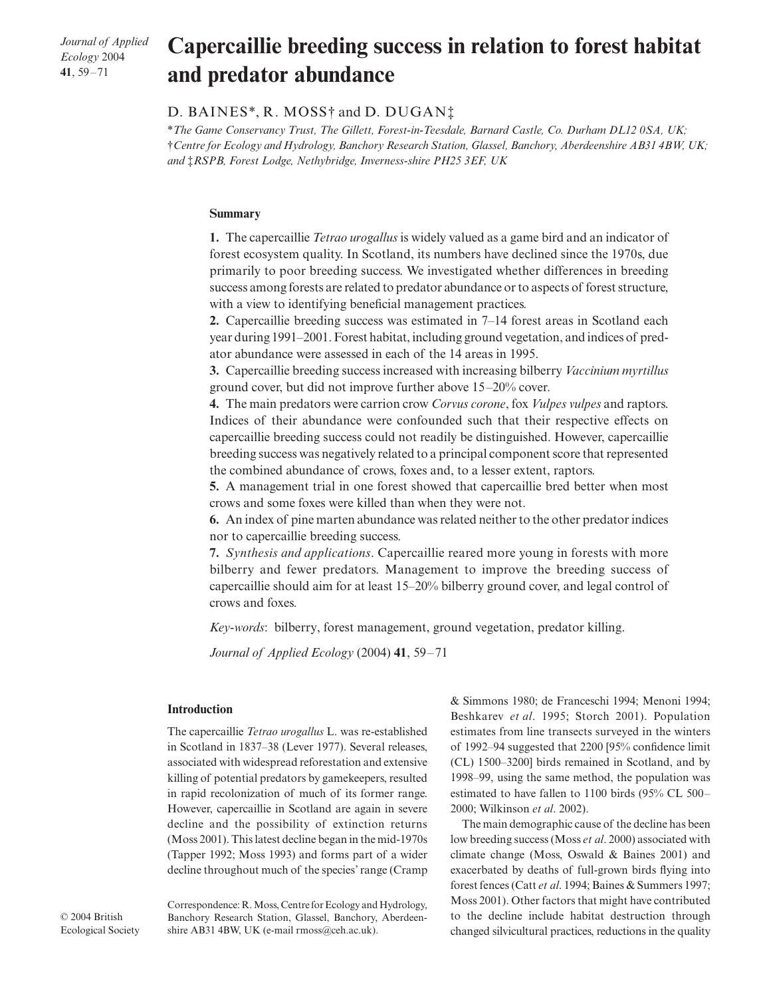*Journal of Applied Ecology* 2004 **41**, 59–71

# Capercaillie breeding success in relation to forest habitat **and predator abundance**

## D. BAINES\*, R. MOSS† and D. DUGAN‡

\**The Game Conservancy Trust, The Gillett, Forest-in-Teesdale, Barnard Castle, Co. Durham DL12 0SA, UK;*  †*Centre for Ecology and Hydrology, Banchory Research Station, Glassel, Banchory, Aberdeenshire AB31 4BW, UK; and* ‡*RSPB, Forest Lodge, Nethybridge, Inverness-shire PH25 3EF, UK* 

### **Summary**

**1.** The capercaillie *Tetrao urogallus* is widely valued as a game bird and an indicator of forest ecosystem quality. In Scotland, its numbers have declined since the 1970s, due primarily to poor breeding success. We investigated whether differences in breeding success among forests are related to predator abundance or to aspects of forest structure, with a view to identifying beneficial management practices.

**2.** Capercaillie breeding success was estimated in 7–14 forest areas in Scotland each year during 1991–2001. Forest habitat, including ground vegetation, and indices of predator abundance were assessed in each of the 14 areas in 1995.

**3.** Capercaillie breeding success increased with increasing bilberry *Vaccinium myrtillus* ground cover, but did not improve further above 15–20% cover.

**4.** The main predators were carrion crow *Corvus corone*, fox *Vulpes vulpes* and raptors. Indices of their abundance were confounded such that their respective effects on capercaillie breeding success could not readily be distinguished. However, capercaillie breeding success was negatively related to a principal component score that represented the combined abundance of crows, foxes and, to a lesser extent, raptors.

**5.** A management trial in one forest showed that capercaillie bred better when most crows and some foxes were killed than when they were not.

**6.** An index of pine marten abundance was related neither to the other predator indices nor to capercaillie breeding success.

**7.** *Synthesis and applications*. Capercaillie reared more young in forests with more bilberry and fewer predators. Management to improve the breeding success of capercaillie should aim for at least 15–20% bilberry ground cover, and legal control of crows and foxes.

*Key-words*: bilberry, forest management, ground vegetation, predator killing.

*Journal of Applied Ecology* (2004) **41**, 59–71

#### **Introduction**

The capercaillie *Tetrao urogallus* L. was re-established in Scotland in 1837–38 (Lever 1977). Several releases, associated with widespread reforestation and extensive killing of potential predators by gamekeepers, resulted in rapid recolonization of much of its former range. However, capercaillie in Scotland are again in severe decline and the possibility of extinction returns (Moss 2001). This latest decline began in the mid-1970s (Tapper 1992; Moss 1993) and forms part of a wider decline throughout much of the species' range (Cramp & Simmons 1980; de Franceschi 1994; Menoni 1994; Beshkarev *et al*. 1995; Storch 2001). Population estimates from line transects surveyed in the winters of 1992–94 suggested that 2200 [95% confidence limit (CL) 1500–3200] birds remained in Scotland, and by 1998–99, using the same method, the population was estimated to have fallen to 1100 birds (95% CL 500– 2000; Wilkinson *et al*. 2002).

The main demographic cause of the decline has been low breeding success (Moss *et al*. 2000) associated with climate change (Moss, Oswald & Baines 2001) and exacerbated by deaths of full-grown birds flying into forest fences (Catt *et al*. 1994; Baines & Summers 1997; Moss 2001). Other factors that might have contributed to the decline include habitat destruction through changed silvicultural practices, reductions in the quality

© 2004 British Ecological Society Correspondence: R. Moss, Centre for Ecology and Hydrology, Banchory Research Station, Glassel, Banchory, Aberdeenshire AB31 4BW, UK (e-mail rmoss@ceh.ac.uk).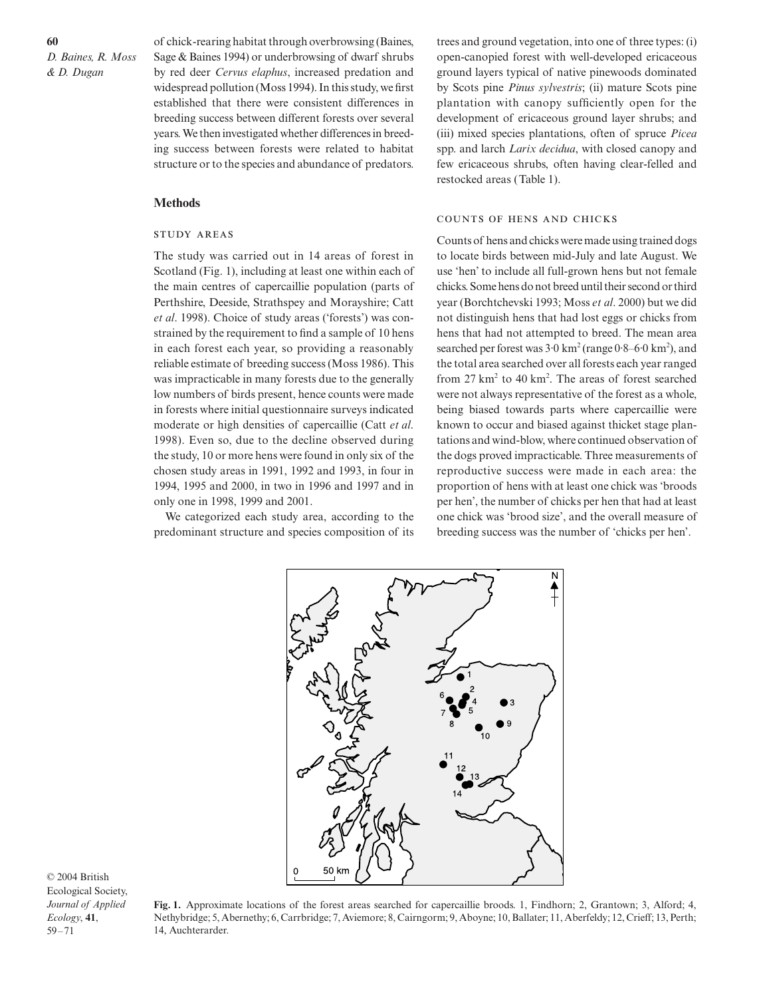of chick-rearing habitat through overbrowsing (Baines, Sage & Baines 1994) or underbrowsing of dwarf shrubs by red deer *Cervus elaphus*, increased predation and widespread pollution (Moss 1994). In this study, we first established that there were consistent differences in breeding success between different forests over several years. We then investigated whether differences in breeding success between forests were related to habitat structure or to the species and abundance of predators.

#### **Methods**

## **STUDY AREAS**

The study was carried out in 14 areas of forest in Scotland (Fig. 1), including at least one within each of the main centres of capercaillie population (parts of Perthshire, Deeside, Strathspey and Morayshire; Catt *et al*. 1998). Choice of study areas ('forests') was constrained by the requirement to find a sample of 10 hens in each forest each year, so providing a reasonably reliable estimate of breeding success (Moss 1986). This was impracticable in many forests due to the generally low numbers of birds present, hence counts were made in forests where initial questionnaire surveys indicated moderate or high densities of capercaillie (Catt *et al*. 1998). Even so, due to the decline observed during the study, 10 or more hens were found in only six of the chosen study areas in 1991, 1992 and 1993, in four in 1994, 1995 and 2000, in two in 1996 and 1997 and in only one in 1998, 1999 and 2001.

We categorized each study area, according to the predominant structure and species composition of its

trees and ground vegetation, into one of three types: (i) open-canopied forest with well-developed ericaceous ground layers typical of native pinewoods dominated by Scots pine *Pinus sylvestris*; (ii) mature Scots pine plantation with canopy sufficiently open for the development of ericaceous ground layer shrubs; and (iii) mixed species plantations, often of spruce *Picea* spp. and larch *Larix decidua*, with closed canopy and few ericaceous shrubs, often having clear-felled and restocked areas (Table 1).

#### COUNTS OF HENS AND CHICKS

Counts of hens and chicks were made using trained dogs to locate birds between mid-July and late August. We use 'hen' to include all full-grown hens but not female chicks. Some hens do not breed until their second or third year (Borchtchevski 1993; Moss *et al*. 2000) but we did not distinguish hens that had lost eggs or chicks from hens that had not attempted to breed. The mean area searched per forest was  $3.0 \text{ km}^2$  (range  $0.8-6.0 \text{ km}^2$ ), and the total area searched over all forests each year ranged from  $27 \text{ km}^2$  to  $40 \text{ km}^2$ . The areas of forest searched were not always representative of the forest as a whole, being biased towards parts where capercaillie were known to occur and biased against thicket stage plantations and wind-blow, where continued observation of the dogs proved impracticable. Three measurements of reproductive success were made in each area: the proportion of hens with at least one chick was 'broods per hen', the number of chicks per hen that had at least one chick was 'brood size', and the overall measure of breeding success was the number of 'chicks per hen'.



**Fig. 1.** Approximate locations of the forest areas searched for capercaillie broods. 1, Findhorn; 2, Grantown; 3, Alford; 4, Nethybridge; 5, Abernethy; 6, Carrbridge; 7, Aviemore; 8, Cairngorm; 9, Aboyne; 10, Ballater; 11, Aberfeldy; 12, Crieff; 13, Perth; 14, Auchterarder.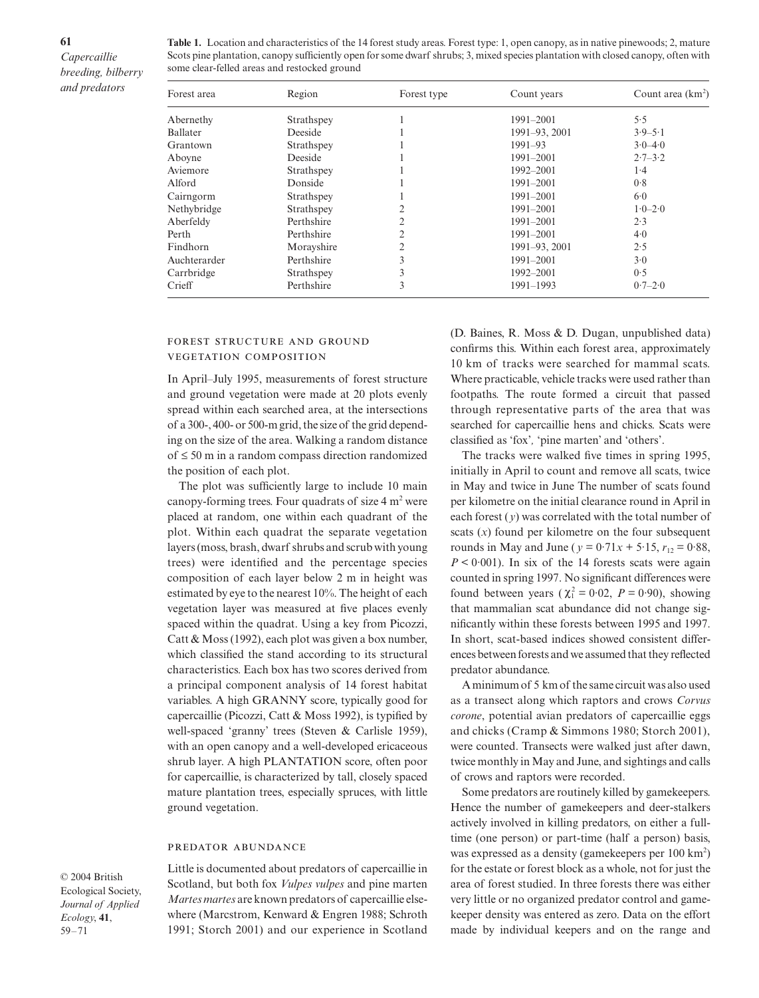**61**

**Table 1.** Location and characteristics of the 14 forest study areas. Forest type: 1, open canopy, as in native pinewoods; 2, mature Scots pine plantation, canopy sufficiently open for some dwarf shrubs; 3, mixed species plantation with closed canopy, often with some clear-felled areas and restocked ground

| Forest area  | Region     | Forest type    | Count years   | Count area $(km^2)$ |  |
|--------------|------------|----------------|---------------|---------------------|--|
| Abernethy    | Strathspey |                | 1991-2001     | 5.5                 |  |
| Ballater     | Deeside    |                | 1991-93, 2001 | $3.9 - 5.1$         |  |
| Grantown     | Strathspey |                | $1991 - 93$   | $3.0 - 4.0$         |  |
| Aboyne       | Deeside    |                | 1991-2001     | $2.7 - 3.2$         |  |
| Aviemore     | Strathspey |                | 1992-2001     | 1.4                 |  |
| Alford       | Donside    |                | 1991-2001     | 0.8                 |  |
| Cairngorm    | Strathspey |                | $1991 - 2001$ | 6.0                 |  |
| Nethybridge  | Strathspey | 2              | 1991-2001     | $1.0 - 2.0$         |  |
| Aberfeldy    | Perthshire | 2              | 1991-2001     | 2.3                 |  |
| Perth        | Perthshire | $\overline{2}$ | 1991-2001     | 4.0                 |  |
| Findhorn     | Morayshire | 2              | 1991-93, 2001 | 2.5                 |  |
| Auchterarder | Perthshire | 3              | 1991-2001     | 3.0                 |  |
| Carrbridge   | Strathspey | 3              | 1992-2001     | 0.5                 |  |
| Crieff       | Perthshire | 3              | 1991-1993     | $0.7 - 2.0$         |  |

## FOREST STRUCTURE AND GROUND **VEGETATION COMPOSITION**

In April–July 1995, measurements of forest structure and ground vegetation were made at 20 plots evenly spread within each searched area, at the intersections of a 300-, 400- or 500-m grid, the size of the grid depending on the size of the area. Walking a random distance of ≤ 50 m in a random compass direction randomized the position of each plot.

The plot was sufficiently large to include 10 main canopy-forming trees. Four quadrats of size  $4 \text{ m}^2$  were placed at random, one within each quadrant of the plot. Within each quadrat the separate vegetation layers (moss, brash, dwarf shrubs and scrub with young trees) were identified and the percentage species composition of each layer below 2 m in height was estimated by eye to the nearest 10%. The height of each vegetation layer was measured at five places evenly spaced within the quadrat. Using a key from Picozzi, Catt & Moss (1992), each plot was given a box number, which classified the stand according to its structural characteristics. Each box has two scores derived from a principal component analysis of 14 forest habitat variables. A high GRANNY score, typically good for capercaillie (Picozzi, Catt & Moss 1992), is typified by well-spaced 'granny' trees (Steven & Carlisle 1959), with an open canopy and a well-developed ericaceous shrub layer. A high PLANTATION score, often poor for capercaillie, is characterized by tall, closely spaced mature plantation trees, especially spruces, with little ground vegetation.

#### PREDATOR ABUNDANCE

© 2004 British Ecological Society, *Journal of Applied Ecology*, **41**, 59–71

Little is documented about predators of capercaillie in Scotland, but both fox *Vulpes vulpes* and pine marten *Martes martes* are known predators of capercaillie elsewhere (Marcstrom, Kenward & Engren 1988; Schroth 1991; Storch 2001) and our experience in Scotland

(D. Baines, R. Moss & D. Dugan, unpublished data) confirms this. Within each forest area, approximately 10 km of tracks were searched for mammal scats. Where practicable, vehicle tracks were used rather than footpaths. The route formed a circuit that passed through representative parts of the area that was searched for capercaillie hens and chicks. Scats were classified as 'fox'*,* 'pine marten' and 'others'.

The tracks were walked five times in spring 1995, initially in April to count and remove all scats, twice in May and twice in June The number of scats found per kilometre on the initial clearance round in April in each forest (*y*) was correlated with the total number of scats (*x*) found per kilometre on the four subsequent rounds in May and June ( $y = 0.71x + 5.15$ ,  $r_{12} = 0.88$ ,  $P < 0.001$ ). In six of the 14 forests scats were again counted in spring 1997. No significant differences were found between years ( $\chi_1^2 = 0.02$ ,  $P = 0.90$ ), showing that mammalian scat abundance did not change significantly within these forests between 1995 and 1997. In short, scat-based indices showed consistent differences between forests and we assumed that they reflected predator abundance.

A minimum of 5 km of the same circuit was also used as a transect along which raptors and crows *Corvus corone*, potential avian predators of capercaillie eggs and chicks (Cramp & Simmons 1980; Storch 2001), were counted. Transects were walked just after dawn, twice monthly in May and June, and sightings and calls of crows and raptors were recorded.

Some predators are routinely killed by gamekeepers. Hence the number of gamekeepers and deer-stalkers actively involved in killing predators, on either a fulltime (one person) or part-time (half a person) basis, was expressed as a density (gamekeepers per  $100 \text{ km}^2$ ) for the estate or forest block as a whole, not for just the area of forest studied. In three forests there was either very little or no organized predator control and gamekeeper density was entered as zero. Data on the effort made by individual keepers and on the range and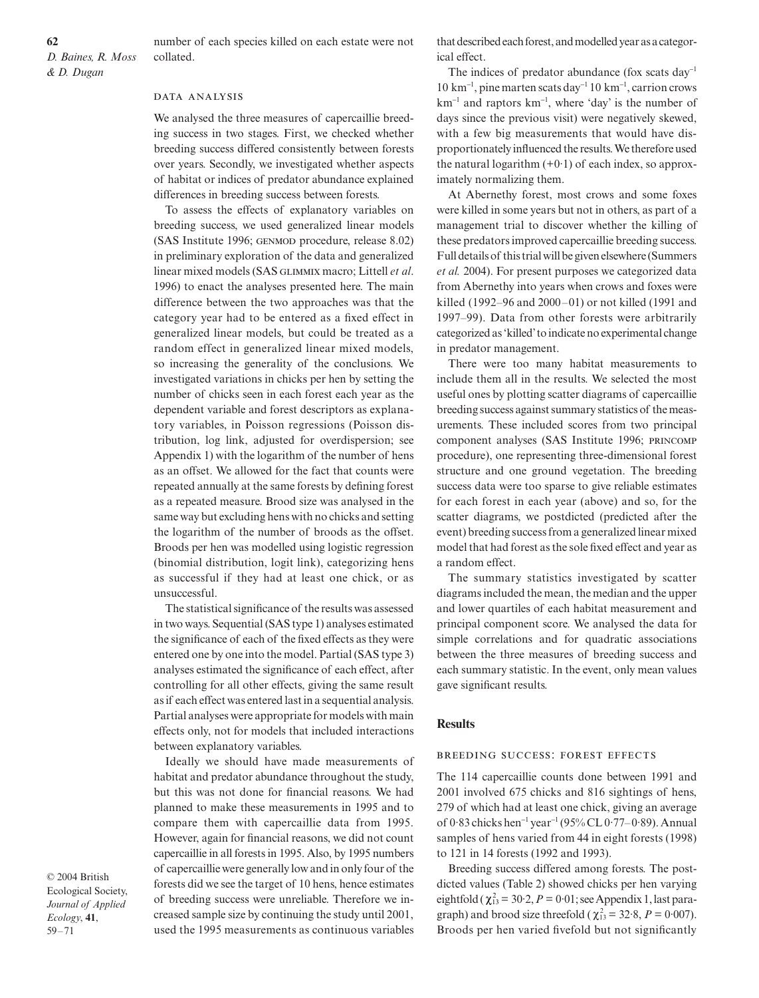number of each species killed on each estate were not collated.

#### DATA ANALYSIS

We analysed the three measures of capercaillie breeding success in two stages. First, we checked whether breeding success differed consistently between forests over years. Secondly, we investigated whether aspects of habitat or indices of predator abundance explained differences in breeding success between forests.

To assess the effects of explanatory variables on breeding success, we used generalized linear models (SAS Institute 1996; GENMOD procedure, release 8.02) in preliminary exploration of the data and generalized linear mixed models (SAS GLIMMIX macro; Littell et al. 1996) to enact the analyses presented here. The main difference between the two approaches was that the category year had to be entered as a fixed effect in generalized linear models, but could be treated as a random effect in generalized linear mixed models, so increasing the generality of the conclusions. We investigated variations in chicks per hen by setting the number of chicks seen in each forest each year as the dependent variable and forest descriptors as explanatory variables, in Poisson regressions (Poisson distribution, log link, adjusted for overdispersion; see Appendix 1) with the logarithm of the number of hens as an offset. We allowed for the fact that counts were repeated annually at the same forests by defining forest as a repeated measure. Brood size was analysed in the same way but excluding hens with no chicks and setting the logarithm of the number of broods as the offset. Broods per hen was modelled using logistic regression (binomial distribution, logit link), categorizing hens as successful if they had at least one chick, or as unsuccessful.

The statistical significance of the results was assessed in two ways. Sequential (SAS type 1) analyses estimated the significance of each of the fixed effects as they were entered one by one into the model. Partial (SAS type 3) analyses estimated the significance of each effect, after controlling for all other effects, giving the same result as if each effect was entered last in a sequential analysis. Partial analyses were appropriate for models with main effects only, not for models that included interactions between explanatory variables.

Ideally we should have made measurements of habitat and predator abundance throughout the study, but this was not done for financial reasons. We had planned to make these measurements in 1995 and to compare them with capercaillie data from 1995. However, again for financial reasons, we did not count capercaillie in all forests in 1995. Also, by 1995 numbers of capercaillie were generally low and in only four of the forests did we see the target of 10 hens, hence estimates of breeding success were unreliable. Therefore we increased sample size by continuing the study until 2001, used the 1995 measurements as continuous variables

© 2004 British Ecological Society, *Journal of Applied Ecology*, **41**, 59–71

that described each forest, and modelled year as a categorical effect.

The indices of predator abundance (fox scats day<sup>-1</sup> 10 km<sup>−</sup><sup>1</sup> , pine marten scats day<sup>−</sup><sup>1</sup> 10 km<sup>−</sup><sup>1</sup> , carrion crows km<sup>−</sup><sup>1</sup> and raptors km<sup>−</sup><sup>1</sup> , where 'day' is the number of days since the previous visit) were negatively skewed, with a few big measurements that would have disproportionately influenced the results. We therefore used the natural logarithm  $(+0.1)$  of each index, so approximately normalizing them.

At Abernethy forest, most crows and some foxes were killed in some years but not in others, as part of a management trial to discover whether the killing of these predators improved capercaillie breeding success. Full details of this trial will be given elsewhere (Summers *et al.* 2004). For present purposes we categorized data from Abernethy into years when crows and foxes were killed (1992–96 and 2000–01) or not killed (1991 and 1997–99). Data from other forests were arbitrarily categorized as 'killed' to indicate no experimental change in predator management.

There were too many habitat measurements to include them all in the results. We selected the most useful ones by plotting scatter diagrams of capercaillie breeding success against summary statistics of the measurements. These included scores from two principal component analyses (SAS Institute 1996; procedure), one representing three-dimensional forest structure and one ground vegetation. The breeding success data were too sparse to give reliable estimates for each forest in each year (above) and so, for the scatter diagrams, we postdicted (predicted after the event) breeding success from a generalized linear mixed model that had forest as the sole fixed effect and year as a random effect.

The summary statistics investigated by scatter diagrams included the mean, the median and the upper and lower quartiles of each habitat measurement and principal component score. We analysed the data for simple correlations and for quadratic associations between the three measures of breeding success and each summary statistic. In the event, only mean values gave significant results.

#### **Results**

## BREEDING SUCCESS: FOREST EFFECTS

The 114 capercaillie counts done between 1991 and 2001 involved 675 chicks and 816 sightings of hens, 279 of which had at least one chick, giving an average of 0·83 chicks hen<sup>−</sup><sup>1</sup> year<sup>−</sup><sup>1</sup> (95% CL 0·77–0·89). Annual samples of hens varied from 44 in eight forests (1998) to 121 in 14 forests (1992 and 1993).

Breeding success differed among forests. The postdicted values (Table 2) showed chicks per hen varying eightfold ( $\chi^2_{13} = 30.2$ ,  $P = 0.01$ ; see Appendix 1, last paragraph) and brood size threefold  $(\chi_{13}^2 = 32.8, P = 0.007)$ . Broods per hen varied fivefold but not significantly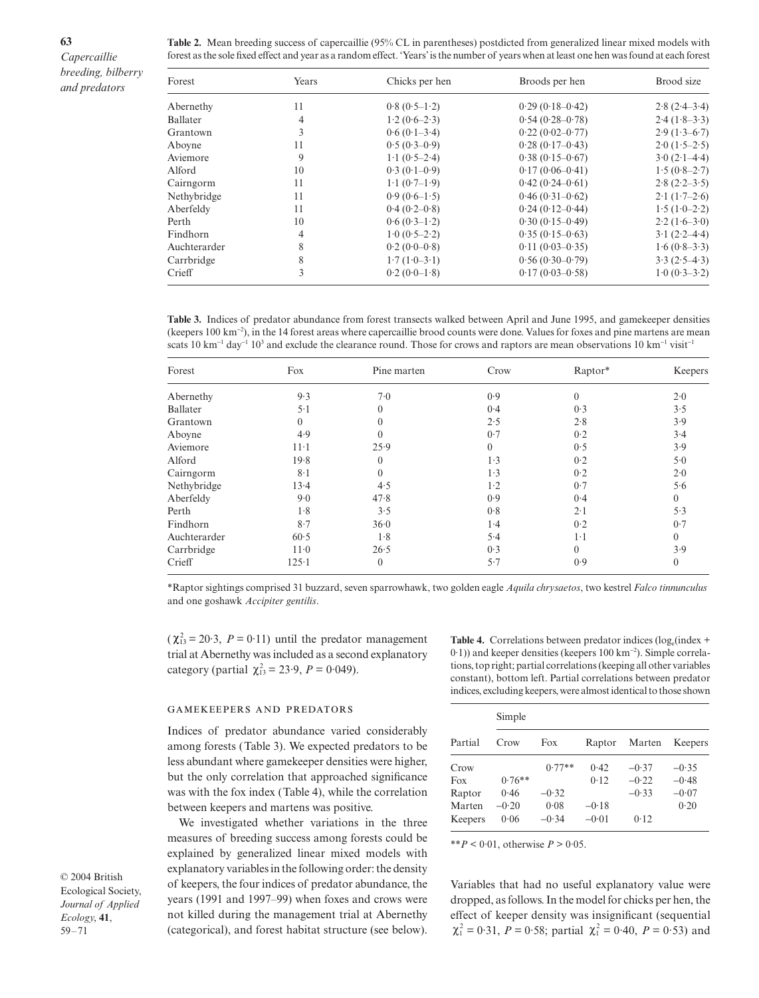**63**

**Table 2.** Mean breeding success of capercaillie (95% CL in parentheses) postdicted from generalized linear mixed models with forest as the sole fixed effect and year as a random effect. 'Years' is the number of years when at least one hen was found at each forest

| Forest       | Years          | Chicks per hen                | Broods per hen      | Brood size                          |
|--------------|----------------|-------------------------------|---------------------|-------------------------------------|
| Abernethy    | 11             | $0.8(0.5-1.2)$                | $0.29(0.18-0.42)$   | $2.8(2.4-3.4)$                      |
| Ballater     | $\overline{4}$ | $1.2(0.6-2.3)$                | $0.54(0.28 - 0.78)$ | $2.4(1.8-3.3)$                      |
| Grantown     | 3              | $0.6(0.1-3.4)$                | $0.22(0.02 - 0.77)$ | $2.9(1.3-6.7)$                      |
| Aboyne       | 11             | $0.5(0.3-0.9)$                | $0.28(0.17-0.43)$   | $2.0(1.5-2.5)$                      |
| Aviemore     | 9              | $1 \cdot 1 (0.5 - 2 \cdot 4)$ | $0.38(0.15-0.67)$   | $3.0(2.1-4.4)$                      |
| Alford       | 10             | $0.3(0.1-0.9)$                | $0.17(0.06 - 0.41)$ | $1.5(0.8-2.7)$                      |
| Cairngorm    | 11             | $1.1(0.7-1.9)$                | $0.42(0.24 - 0.61)$ | $2.8(2.2-3.5)$                      |
| Nethybridge  | 11             | $0.9(0.6-1.5)$                | $0.46(0.31-0.62)$   | $2 \cdot 1 (1 \cdot 7 - 2 \cdot 6)$ |
| Aberfeldy    | 11             | $0.4(0.2-0.8)$                | $0.24(0.12-0.44)$   | $1.5(1.0-2.2)$                      |
| Perth        | 10             | $0.6(0.3-1.2)$                | $0.30(0.15-0.49)$   | $2.2(1.6-3.0)$                      |
| Findhorn     | 4              | $1.0(0.5-2.2)$                | $0.35(0.15-0.63)$   | $3.1(2.2-4.4)$                      |
| Auchterarder | 8              | $0.2(0.0-0.8)$                | $0.11(0.03-0.35)$   | $1.6(0.8-3.3)$                      |
| Carrbridge   | 8              | $1.7(1.0-3.1)$                | $0.56(0.30-0.79)$   | $3.3(2.5-4.3)$                      |
| Crieff       | 3              | $0.2(0.0-1.8)$                | $0.17(0.03 - 0.58)$ | $1.0 (0.3 - 3.2)$                   |

**Table 3.** Indices of predator abundance from forest transects walked between April and June 1995, and gamekeeper densities (keepers 100 km<sup>−</sup><sup>2</sup> ), in the 14 forest areas where capercaillie brood counts were done. Values for foxes and pine martens are mean scats 10 km<sup>-1</sup> day<sup>-1</sup> 10<sup>3</sup> and exclude the clearance round. Those for crows and raptors are mean observations 10 km<sup>-1</sup> visit<sup>-1</sup>

| Forest       | Fox            | Pine marten    | Crow         | Raptor*      | Keepers          |
|--------------|----------------|----------------|--------------|--------------|------------------|
| Abernethy    | 9.3            | 7.0            | 0.9          | $\mathbf{0}$ | 2.0              |
| Ballater     | $5-1$          | $\theta$       | 0.4          | 0.3          | 3.5              |
| Grantown     | $\overline{0}$ | $\Omega$       | 2.5          | 2.8          | 3.9              |
| Aboyne       | 4.9            | $\Omega$       | 0.7          | 0.2          | 3.4              |
| Aviemore     | $11-1$         | 25.9           | $\mathbf{0}$ | 0.5          | 3.9              |
| Alford       | 19.8           | $\Omega$       | 1.3          | 0.2          | 5.0              |
| Cairngorm    | $8-1$          | $\theta$       | 1.3          | 0.2          | 2.0              |
| Nethybridge  | 13.4           | 4.5            | $1-2$        | 0.7          | 5.6              |
| Aberfeldy    | 9.0            | 47.8           | 0.9          | 0.4          | $\overline{0}$   |
| Perth        | 1.8            | 3.5            | 0.8          | $2 \cdot 1$  | 5.3              |
| Findhorn     | 8.7            | 36.0           | 1.4          | 0.2          | 0.7              |
| Auchterarder | 60.5           | 1.8            | 5.4          | $1-1$        | $\overline{0}$   |
| Carrbridge   | $11-0$         | 26.5           | 0.3          | $\theta$     | 3.9              |
| Crieff       | $125 - 1$      | $\overline{0}$ | 5.7          | 0.9          | $\boldsymbol{0}$ |

\*Raptor sightings comprised 31 buzzard, seven sparrowhawk, two golden eagle *Aquila chrysaetos*, two kestrel *Falco tinnunculus* and one goshawk *Accipiter gentilis*.

 $(\chi_{13}^2 = 20.3, P = 0.11)$  until the predator management trial at Abernethy was included as a second explanatory category (partial  $\chi_{13}^2 = 23.9, P = 0.049$ ).

#### **GAMEKEEPERS AND PREDATORS**

Indices of predator abundance varied considerably among forests (Table 3). We expected predators to be less abundant where gamekeeper densities were higher, but the only correlation that approached significance was with the fox index (Table 4), while the correlation between keepers and martens was positive.

We investigated whether variations in the three measures of breeding success among forests could be explained by generalized linear mixed models with explanatory variables in the following order: the density of keepers, the four indices of predator abundance, the years (1991 and 1997–99) when foxes and crows were not killed during the management trial at Abernethy (categorical), and forest habitat structure (see below).

**Table 4.** Correlations between predator indices ( $log_e$ (index + 0·1)) and keeper densities (keepers 100 km<sup>−</sup><sup>2</sup> ). Simple correlations, top right; partial correlations (keeping all other variables constant), bottom left. Partial correlations between predator indices, excluding keepers, were almost identical to those shown

|         | Simple   |          |         |         |         |  |  |  |  |
|---------|----------|----------|---------|---------|---------|--|--|--|--|
| Partial | Crow     | Fox      | Raptor  | Marten  | Keepers |  |  |  |  |
| Crow    |          | $0.77**$ | 0.42    | $-0.37$ | $-0.35$ |  |  |  |  |
| Fox     | $0.76**$ |          | 0.12    | $-0.22$ | $-0.48$ |  |  |  |  |
| Raptor  | 0.46     | $-0.32$  |         | $-0.33$ | $-0.07$ |  |  |  |  |
| Marten  | $-0.20$  | 0.08     | $-0.18$ |         | 0.20    |  |  |  |  |
| Keepers | 0.06     | $-0.34$  | $-0.01$ | 0.12    |         |  |  |  |  |

\*\**P* < 0.01, otherwise *P* > 0.05.

Variables that had no useful explanatory value were dropped, as follows. In the model for chicks per hen, the effect of keeper density was insignificant (sequential  $\chi_1^2 = 0.31$ ,  $P = 0.58$ ; partial  $\chi_1^2 = 0.40$ ,  $P = 0.53$ ) and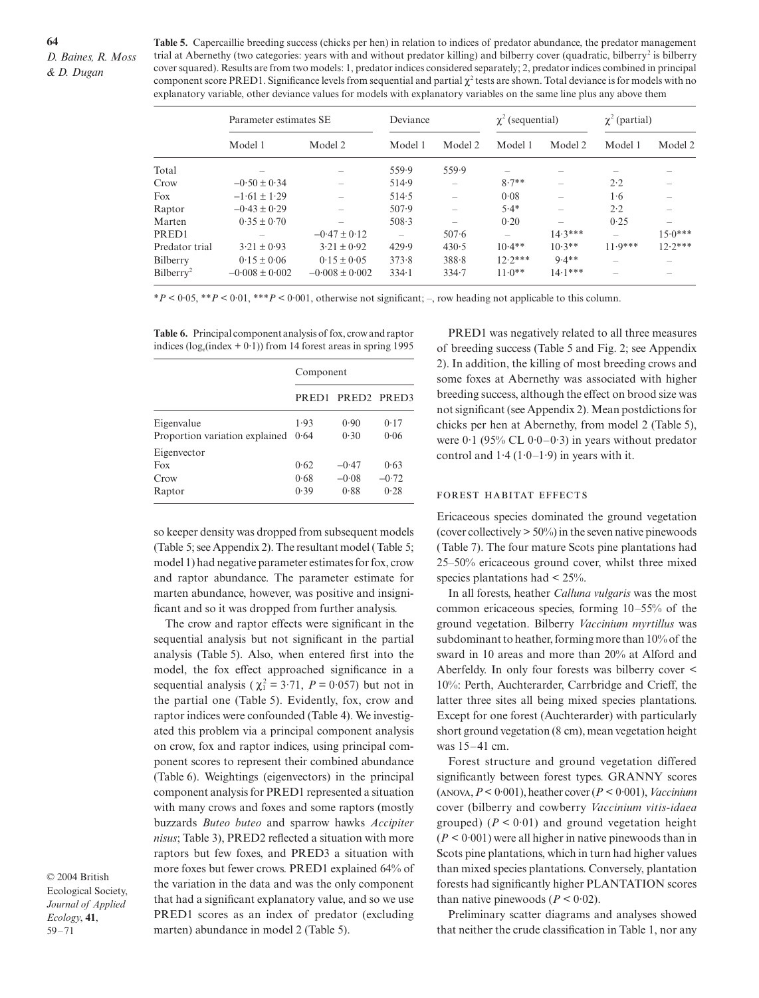**Table 5.** Capercaillie breeding success (chicks per hen) in relation to indices of predator abundance, the predator management trial at Abernethy (two categories: years with and without predator killing) and bilberry cover (quadratic, bilberry<sup>2</sup> is bilberry cover squared). Results are from two models: 1, predator indices considered separately; 2, predator indices combined in principal component score PRED1. Significance levels from sequential and partial  $χ²$  tests are shown. Total deviance is for models with no explanatory variable, other deviance values for models with explanatory variables on the same line plus any above them

|                       | Parameter estimates SE |                    | Deviance                 |                          | $\chi^2$ (sequential) |           | $\chi^2$ (partial) |           |
|-----------------------|------------------------|--------------------|--------------------------|--------------------------|-----------------------|-----------|--------------------|-----------|
|                       | Model 1                | Model 2            | Model 1                  | Model 2                  | Model 1               | Model 2   | Model 1            | Model 2   |
| Total                 |                        |                    | 559.9                    | 559.9                    | $\sim$                |           |                    |           |
| Crow                  | $-0.50 \pm 0.34$       |                    | 514.9                    |                          | $8.7**$               |           | 2.2                |           |
| Fox                   | $-1.61 \pm 1.29$       |                    | 514.5                    | $\overline{\phantom{a}}$ | 0.08                  |           | 1·6                |           |
| Raptor                | $-0.43 \pm 0.29$       |                    | 507.9                    |                          | $5.4*$                |           | 2.2                |           |
| Marten                | $0.35 \pm 0.70$        |                    | 508.3                    |                          | 0.20                  |           | 0.25               |           |
| PR ED 1               |                        | $-0.47 \pm 0.12$   | $\overline{\phantom{0}}$ | $507 - 6$                | -                     | $14.3***$ |                    | $15.0***$ |
| Predator trial        | $3.21 \pm 0.93$        | $3.21 \pm 0.92$    | 429.9                    | 430.5                    | $10.4**$              | $10.3**$  | $11.9***$          | $12.2***$ |
| Bilberry              | $0.15 \pm 0.06$        | $0.15 \pm 0.05$    | 373.8                    | 388.8                    | $12.2***$             | $9.4**$   | -                  |           |
| Bilberry <sup>2</sup> | $-0.008 \pm 0.002$     | $-0.008 \pm 0.002$ | $334-1$                  | 334.7                    | $11.0**$              | $14.1***$ | -                  |           |

\**P* < 0·05, \*\**P* < 0·01, \*\*\**P* < 0·001, otherwise not significant; –, row heading not applicable to this column.

**Table 6.** Principal component analysis of fox, crow and raptor indices ( $log_e$ (index + 0·1)) from 14 forest areas in spring 1995

|                                | Component         |                                     |         |  |  |
|--------------------------------|-------------------|-------------------------------------|---------|--|--|
|                                | PRED <sub>1</sub> | PRED <sub>2</sub> PRED <sub>3</sub> |         |  |  |
| Eigenvalue                     | 1.93              | 0.90                                | 0.17    |  |  |
| Proportion variation explained | 0.64              | 0.30                                | 0.06    |  |  |
| Eigenvector                    |                   |                                     |         |  |  |
| Fox                            | 0.62              | $-0.47$                             | 0.63    |  |  |
| Crow                           | 0.68              | $-0.08$                             | $-0.72$ |  |  |
| Raptor                         | 0.39              | 0.88                                | 0.28    |  |  |

so keeper density was dropped from subsequent models (Table 5; see Appendix 2). The resultant model (Table 5; model 1) had negative parameter estimates for fox, crow and raptor abundance. The parameter estimate for marten abundance, however, was positive and insignificant and so it was dropped from further analysis.

The crow and raptor effects were significant in the sequential analysis but not significant in the partial analysis (Table 5). Also, when entered first into the model, the fox effect approached significance in a sequential analysis ( $\chi_1^2 = 3.71$ ,  $P = 0.057$ ) but not in the partial one (Table 5). Evidently, fox, crow and raptor indices were confounded (Table 4). We investigated this problem via a principal component analysis on crow, fox and raptor indices, using principal component scores to represent their combined abundance (Table 6). Weightings (eigenvectors) in the principal component analysis for PRED1 represented a situation with many crows and foxes and some raptors (mostly buzzards *Buteo buteo* and sparrow hawks *Accipiter nisus*; Table 3), PRED2 reflected a situation with more raptors but few foxes, and PRED3 a situation with more foxes but fewer crows. PRED1 explained 64% of the variation in the data and was the only component that had a significant explanatory value, and so we use PRED1 scores as an index of predator (excluding marten) abundance in model 2 (Table 5).

© 2004 British Ecological Society, *Journal of Applied Ecology*, **41**, 59–71

PRED1 was negatively related to all three measures of breeding success (Table 5 and Fig. 2; see Appendix 2). In addition, the killing of most breeding crows and some foxes at Abernethy was associated with higher breeding success, although the effect on brood size was not significant (see Appendix 2). Mean postdictions for chicks per hen at Abernethy, from model 2 (Table 5), were  $0.1$  (95% CL  $0.0-0.3$ ) in years without predator control and  $1.4 (1.0-1.9)$  in years with it.

#### FOREST HABITAT EFFECTS

Ericaceous species dominated the ground vegetation (cover collectively  $> 50\%$ ) in the seven native pinewoods (Table 7). The four mature Scots pine plantations had 25–50% ericaceous ground cover, whilst three mixed species plantations had  $\leq 25\%$ .

In all forests, heather *Calluna vulgaris* was the most common ericaceous species, forming 10–55% of the ground vegetation. Bilberry *Vaccinium myrtillus* was subdominant to heather, forming more than 10% of the sward in 10 areas and more than 20% at Alford and Aberfeldy. In only four forests was bilberry cover < 10%: Perth, Auchterarder, Carrbridge and Crieff, the latter three sites all being mixed species plantations. Except for one forest (Auchterarder) with particularly short ground vegetation (8 cm), mean vegetation height was 15–41 cm.

Forest structure and ground vegetation differed significantly between forest types. GRANNY scores (, *P*< 0·001), heather cover (*P* < 0·001), *Vaccinium* cover (bilberry and cowberry *Vaccinium vitis-idaea* grouped)  $(P < 0.01)$  and ground vegetation height  $(P < 0.001)$  were all higher in native pinewoods than in Scots pine plantations, which in turn had higher values than mixed species plantations. Conversely, plantation forests had significantly higher PLANTATION scores than native pinewoods  $(P < 0.02)$ .

Preliminary scatter diagrams and analyses showed that neither the crude classification in Table 1, nor any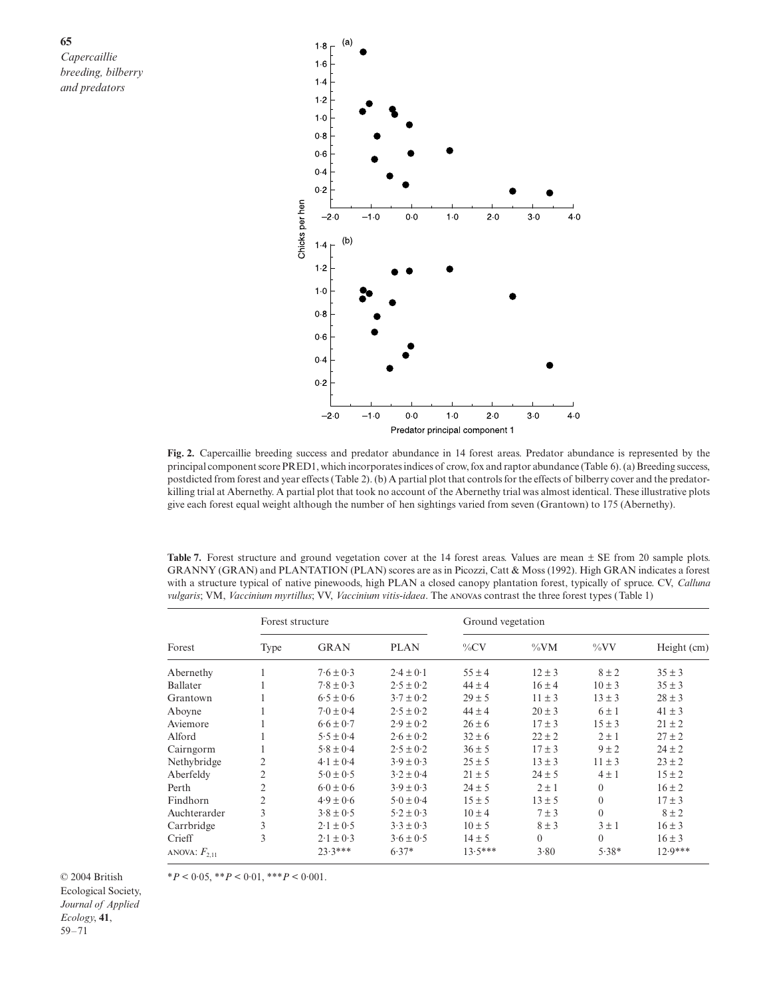

**Fig. 2.** Capercaillie breeding success and predator abundance in 14 forest areas. Predator abundance is represented by the principal component score PRED1, which incorporates indices of crow, fox and raptor abundance (Table 6). (a) Breeding success, postdicted from forest and year effects (Table 2). (b) A partial plot that controls for the effects of bilberry cover and the predatorkilling trial at Abernethy. A partial plot that took no account of the Abernethy trial was almost identical. These illustrative plots give each forest equal weight although the number of hen sightings varied from seven (Grantown) to 175 (Abernethy).

Table 7. Forest structure and ground vegetation cover at the 14 forest areas. Values are mean  $\pm$  SE from 20 sample plots. GRANNY (GRAN) and PLANTATION (PLAN) scores are as in Picozzi, Catt & Moss (1992). High GRAN indicates a forest with a structure typical of native pinewoods, high PLAN a closed canopy plantation forest, typically of spruce. CV, *Calluna vulgaris*; VM, *Vaccinium myrtillus*; VV, *Vaccinium vitis-idaea*. The ANOVAS contrast the three forest types (Table 1)

|                   |      | Forest structure    |               |            | Ground vegetation |            |             |  |  |
|-------------------|------|---------------------|---------------|------------|-------------------|------------|-------------|--|--|
| Forest            | Type | <b>GRAN</b>         | <b>PLAN</b>   | $\%CV$     | $\%VM$            | $\%VV$     | Height (cm) |  |  |
| Abernethy         |      | $7.6 \pm 0.3$       | $2.4 \pm 0.1$ | $55 \pm 4$ | $12 \pm 3$        | $8 \pm 2$  | $35 \pm 3$  |  |  |
| Ballater          |      | $7.8 \pm 0.3$       | $2.5 \pm 0.2$ | $44 \pm 4$ | $16 \pm 4$        | $10 \pm 3$ | $35 \pm 3$  |  |  |
| Grantown          |      | $6.5 \pm 0.6$       | $3.7 \pm 0.2$ | $29 \pm 5$ | $11 \pm 3$        | $13 \pm 3$ | $28 \pm 3$  |  |  |
| Aboyne            |      | $7.0 \pm 0.4$       | $2.5 \pm 0.2$ | $44 \pm 4$ | $20 \pm 3$        | $6 \pm 1$  | $41 \pm 3$  |  |  |
| Aviemore          |      | $6.6 \pm 0.7$       | $2.9 \pm 0.2$ | $26 \pm 6$ | $17 \pm 3$        | $15 \pm 3$ | $21 \pm 2$  |  |  |
| Alford            |      | $5.5 \pm 0.4$       | $2.6 \pm 0.2$ | $32 \pm 6$ | $22 \pm 2$        | $2 \pm 1$  | $27 \pm 2$  |  |  |
| Cairngorm         |      | $5.8 \pm 0.4$       | $2.5 \pm 0.2$ | $36 \pm 5$ | $17 \pm 3$        | $9 \pm 2$  | $24 \pm 2$  |  |  |
| Nethybridge       | 2    | $4.1 \pm 0.4$       | $3.9 \pm 0.3$ | $25 \pm 5$ | $13 \pm 3$        | $11 \pm 3$ | $23 \pm 2$  |  |  |
| Aberfeldy         | 2    | $5.0 \pm 0.5$       | $3.2 \pm 0.4$ | $21 \pm 5$ | $24 \pm 5$        | $4 \pm 1$  | $15 \pm 2$  |  |  |
| Perth             | 2    | $6.0 \pm 0.6$       | $3.9 \pm 0.3$ | $24 \pm 5$ | $2 \pm 1$         | $\theta$   | $16 \pm 2$  |  |  |
| Findhorn          | 2    | $4.9 \pm 0.6$       | $5.0 \pm 0.4$ | $15 \pm 5$ | $13 \pm 5$        | $\theta$   | $17 \pm 3$  |  |  |
| Auchterarder      | 3    | $3.8 \pm 0.5$       | $5.2 \pm 0.3$ | $10 \pm 4$ | $7 \pm 3$         | $\Omega$   | $8 \pm 2$   |  |  |
| Carrbridge        | 3    | $2.1 \pm 0.5$       | $3.3 \pm 0.3$ | $10 \pm 5$ | $8 \pm 3$         | $3 \pm 1$  | $16 \pm 3$  |  |  |
| Crieff            | 3    | $2 \cdot 1 \pm 0.3$ | $3.6 \pm 0.5$ | $14 \pm 5$ | $\Omega$          | $\Omega$   | $16 \pm 3$  |  |  |
| ANOVA: $F_{2,11}$ |      | $23.3***$           | $6.37*$       | $13.5***$  | 3.80              | $5.38*$    | $12.9***$   |  |  |

\**P* < 0·05, \*\**P* < 0·01, \*\*\**P* < 0·001.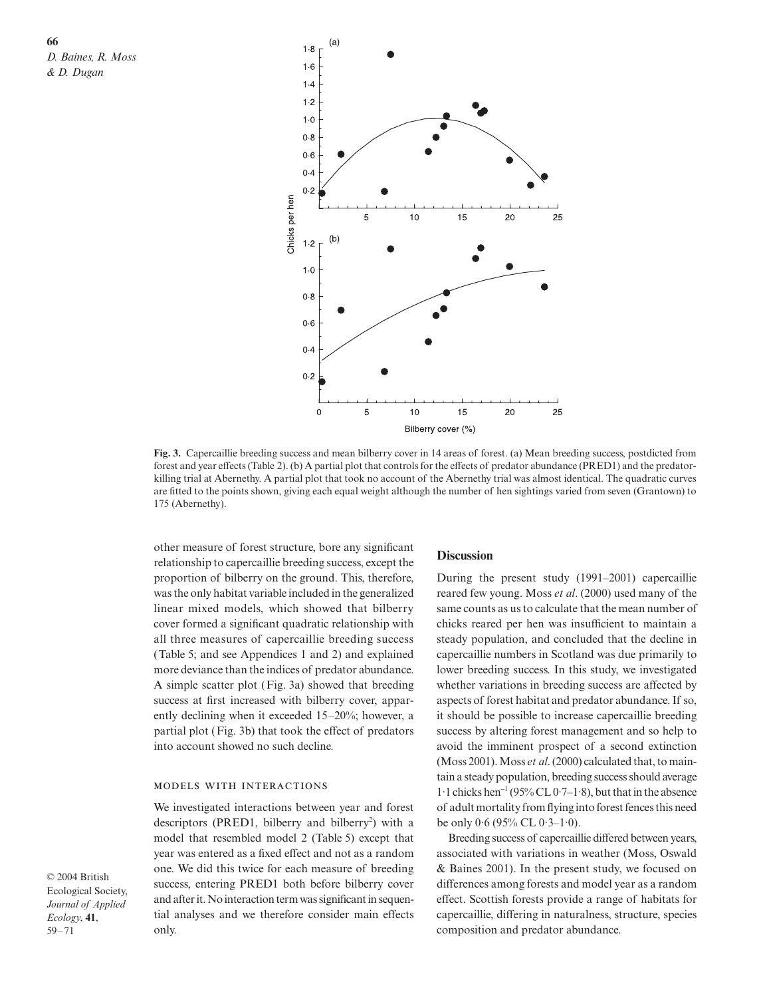

**Fig. 3.** Capercaillie breeding success and mean bilberry cover in 14 areas of forest. (a) Mean breeding success, postdicted from forest and year effects (Table 2). (b) A partial plot that controls for the effects of predator abundance (PRED1) and the predatorkilling trial at Abernethy. A partial plot that took no account of the Abernethy trial was almost identical. The quadratic curves are fitted to the points shown, giving each equal weight although the number of hen sightings varied from seven (Grantown) to 175 (Abernethy).

other measure of forest structure, bore any significant relationship to capercaillie breeding success, except the proportion of bilberry on the ground. This, therefore, was the only habitat variable included in the generalized linear mixed models, which showed that bilberry cover formed a significant quadratic relationship with all three measures of capercaillie breeding success (Table 5; and see Appendices 1 and 2) and explained more deviance than the indices of predator abundance. A simple scatter plot (Fig. 3a) showed that breeding success at first increased with bilberry cover, apparently declining when it exceeded 15–20%; however, a partial plot (Fig. 3b) that took the effect of predators into account showed no such decline.

#### MODELS WITH INTERACTIONS

We investigated interactions between year and forest descriptors (PRED1, bilberry and bilberry<sup>2</sup>) with a model that resembled model 2 (Table 5) except that year was entered as a fixed effect and not as a random one. We did this twice for each measure of breeding success, entering PRED1 both before bilberry cover and after it. No interaction term was significant in sequential analyses and we therefore consider main effects only.

#### **Discussion**

During the present study (1991–2001) capercaillie reared few young. Moss *et al*. (2000) used many of the same counts as us to calculate that the mean number of chicks reared per hen was insufficient to maintain a steady population, and concluded that the decline in capercaillie numbers in Scotland was due primarily to lower breeding success. In this study, we investigated whether variations in breeding success are affected by aspects of forest habitat and predator abundance. If so, it should be possible to increase capercaillie breeding success by altering forest management and so help to avoid the imminent prospect of a second extinction (Moss 2001). Moss *et al*. (2000) calculated that, to maintain a steady population, breeding success should average 1·1 chicks hen<sup>−</sup><sup>1</sup> (95% CL 0·7–1·8), but that in the absence of adult mortality from flying into forest fences this need be only 0·6 (95% CL 0·3–1·0).

Breeding success of capercaillie differed between years, associated with variations in weather (Moss, Oswald & Baines 2001). In the present study, we focused on differences among forests and model year as a random effect. Scottish forests provide a range of habitats for capercaillie, differing in naturalness, structure, species composition and predator abundance.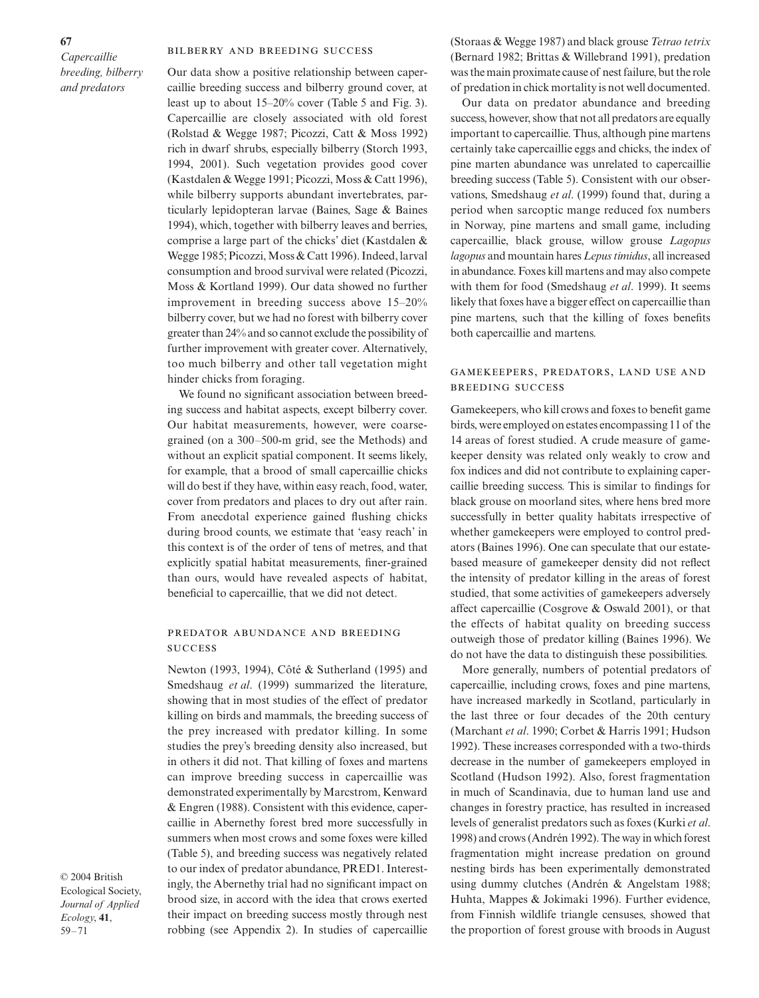#### BILBERRY AND BREEDING SUCCESS

Our data show a positive relationship between capercaillie breeding success and bilberry ground cover, at least up to about 15–20% cover (Table 5 and Fig. 3). Capercaillie are closely associated with old forest (Rolstad & Wegge 1987; Picozzi, Catt & Moss 1992) rich in dwarf shrubs, especially bilberry (Storch 1993, 1994, 2001). Such vegetation provides good cover (Kastdalen & Wegge 1991; Picozzi, Moss & Catt 1996), while bilberry supports abundant invertebrates, particularly lepidopteran larvae (Baines, Sage & Baines 1994), which, together with bilberry leaves and berries, comprise a large part of the chicks' diet (Kastdalen & Wegge 1985; Picozzi, Moss & Catt 1996). Indeed, larval consumption and brood survival were related (Picozzi, Moss & Kortland 1999). Our data showed no further improvement in breeding success above 15–20% bilberry cover, but we had no forest with bilberry cover greater than 24% and so cannot exclude the possibility of further improvement with greater cover. Alternatively, too much bilberry and other tall vegetation might hinder chicks from foraging.

We found no significant association between breeding success and habitat aspects, except bilberry cover. Our habitat measurements, however, were coarsegrained (on a 300–500-m grid, see the Methods) and without an explicit spatial component. It seems likely, for example, that a brood of small capercaillie chicks will do best if they have, within easy reach, food, water, cover from predators and places to dry out after rain. From anecdotal experience gained flushing chicks during brood counts, we estimate that 'easy reach' in this context is of the order of tens of metres, and that explicitly spatial habitat measurements, finer-grained than ours, would have revealed aspects of habitat, beneficial to capercaillie, that we did not detect.

## PREDATOR ABUNDANCE AND BREEDING **SUCCESS**

Newton (1993, 1994), Côté & Sutherland (1995) and Smedshaug *et al*. (1999) summarized the literature, showing that in most studies of the effect of predator killing on birds and mammals, the breeding success of the prey increased with predator killing. In some studies the prey's breeding density also increased, but in others it did not. That killing of foxes and martens can improve breeding success in capercaillie was demonstrated experimentally by Marcstrom, Kenward & Engren (1988). Consistent with this evidence, capercaillie in Abernethy forest bred more successfully in summers when most crows and some foxes were killed (Table 5), and breeding success was negatively related to our index of predator abundance, PRED1. Interestingly, the Abernethy trial had no significant impact on brood size, in accord with the idea that crows exerted their impact on breeding success mostly through nest robbing (see Appendix 2). In studies of capercaillie

© 2004 British Ecological Society, *Journal of Applied Ecology*, **41**, 59–71

(Storaas & Wegge 1987) and black grouse *Tetrao tetrix* (Bernard 1982; Brittas & Willebrand 1991), predation was the main proximate cause of nest failure, but the role of predation in chick mortality is not well documented.

Our data on predator abundance and breeding success, however, show that not all predators are equally important to capercaillie. Thus, although pine martens certainly take capercaillie eggs and chicks, the index of pine marten abundance was unrelated to capercaillie breeding success (Table 5). Consistent with our observations, Smedshaug *et al*. (1999) found that, during a period when sarcoptic mange reduced fox numbers in Norway, pine martens and small game, including capercaillie, black grouse, willow grouse *Lagopus lagopus* and mountain hares *Lepus timidus*, all increased in abundance. Foxes kill martens and may also compete with them for food (Smedshaug *et al*. 1999). It seems likely that foxes have a bigger effect on capercaillie than pine martens, such that the killing of foxes benefits both capercaillie and martens.

## GAMEKEEPERS, PREDATORS, LAND USE AND **BREEDING SUCCESS**

Gamekeepers, who kill crows and foxes to benefit game birds, were employed on estates encompassing 11 of the 14 areas of forest studied. A crude measure of gamekeeper density was related only weakly to crow and fox indices and did not contribute to explaining capercaillie breeding success. This is similar to findings for black grouse on moorland sites, where hens bred more successfully in better quality habitats irrespective of whether gamekeepers were employed to control predators (Baines 1996). One can speculate that our estatebased measure of gamekeeper density did not reflect the intensity of predator killing in the areas of forest studied, that some activities of gamekeepers adversely affect capercaillie (Cosgrove & Oswald 2001), or that the effects of habitat quality on breeding success outweigh those of predator killing (Baines 1996). We do not have the data to distinguish these possibilities.

More generally, numbers of potential predators of capercaillie, including crows, foxes and pine martens, have increased markedly in Scotland, particularly in the last three or four decades of the 20th century (Marchant *et al*. 1990; Corbet & Harris 1991; Hudson 1992). These increases corresponded with a two-thirds decrease in the number of gamekeepers employed in Scotland (Hudson 1992). Also, forest fragmentation in much of Scandinavia, due to human land use and changes in forestry practice, has resulted in increased levels of generalist predators such as foxes (Kurki *et al*. 1998) and crows (Andrén 1992). The way in which forest fragmentation might increase predation on ground nesting birds has been experimentally demonstrated using dummy clutches (Andrén & Angelstam 1988; Huhta, Mappes & Jokimaki 1996). Further evidence, from Finnish wildlife triangle censuses, showed that the proportion of forest grouse with broods in August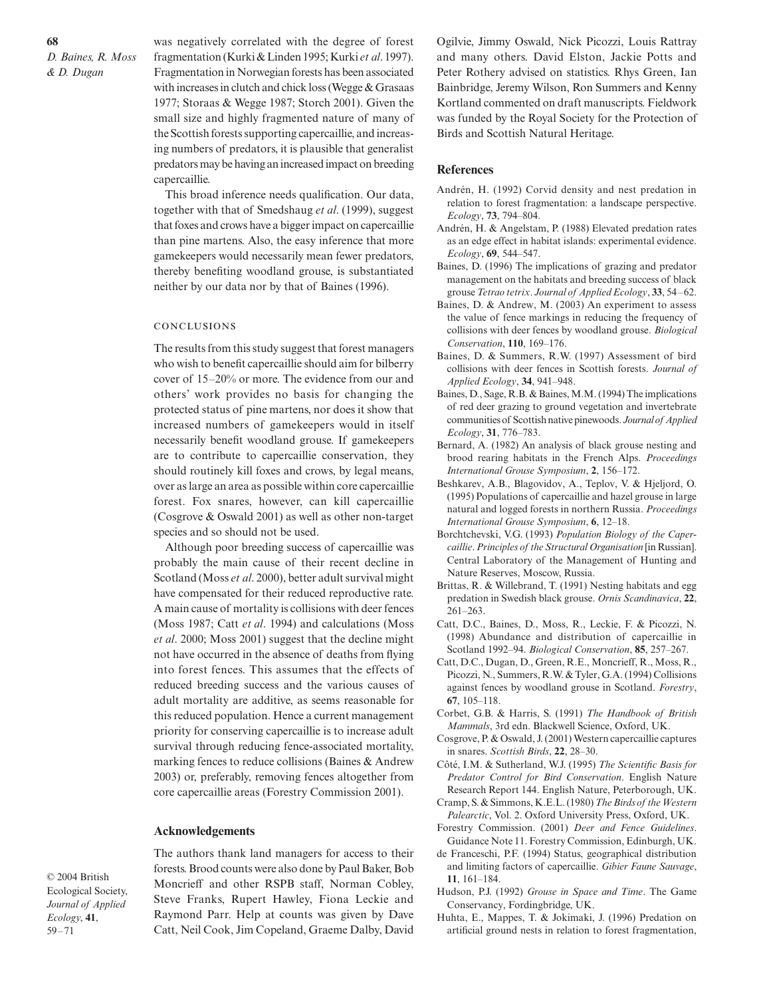was negatively correlated with the degree of forest fragmentation (Kurki & Linden 1995; Kurki *et al*. 1997). Fragmentation in Norwegian forests has been associated with increases in clutch and chick loss (Wegge & Grasaas 1977; Storaas & Wegge 1987; Storch 2001). Given the small size and highly fragmented nature of many of the Scottish forests supporting capercaillie, and increasing numbers of predators, it is plausible that generalist predators may be having an increased impact on breeding capercaillie.

This broad inference needs qualification. Our data, together with that of Smedshaug *et al*. (1999), suggest that foxes and crows have a bigger impact on capercaillie than pine martens. Also, the easy inference that more gamekeepers would necessarily mean fewer predators, thereby benefiting woodland grouse, is substantiated neither by our data nor by that of Baines (1996).

#### **CONCLUSIONS**

The results from this study suggest that forest managers who wish to benefit capercaillie should aim for bilberry cover of 15–20% or more. The evidence from our and others' work provides no basis for changing the protected status of pine martens, nor does it show that increased numbers of gamekeepers would in itself necessarily benefit woodland grouse. If gamekeepers are to contribute to capercaillie conservation, they should routinely kill foxes and crows, by legal means, over as large an area as possible within core capercaillie forest. Fox snares, however, can kill capercaillie (Cosgrove & Oswald 2001) as well as other non-target species and so should not be used.

Although poor breeding success of capercaillie was probably the main cause of their recent decline in Scotland (Moss *et al*. 2000), better adult survival might have compensated for their reduced reproductive rate. A main cause of mortality is collisions with deer fences (Moss 1987; Catt *et al*. 1994) and calculations (Moss *et al*. 2000; Moss 2001) suggest that the decline might not have occurred in the absence of deaths from flying into forest fences. This assumes that the effects of reduced breeding success and the various causes of adult mortality are additive, as seems reasonable for this reduced population. Hence a current management priority for conserving capercaillie is to increase adult survival through reducing fence-associated mortality, marking fences to reduce collisions (Baines & Andrew 2003) or, preferably, removing fences altogether from core capercaillie areas (Forestry Commission 2001).

#### **Acknowledgements**

© 2004 British Ecological Society, *Journal of Applied Ecology*, **41**, 59–71

The authors thank land managers for access to their forests. Brood counts were also done by Paul Baker, Bob Moncrieff and other RSPB staff, Norman Cobley, Steve Franks, Rupert Hawley, Fiona Leckie and Raymond Parr. Help at counts was given by Dave Catt, Neil Cook, Jim Copeland, Graeme Dalby, David Ogilvie, Jimmy Oswald, Nick Picozzi, Louis Rattray and many others. David Elston, Jackie Potts and Peter Rothery advised on statistics. Rhys Green, Ian Bainbridge, Jeremy Wilson, Ron Summers and Kenny Kortland commented on draft manuscripts. Fieldwork was funded by the Royal Society for the Protection of Birds and Scottish Natural Heritage.

## **References**

- Andrén, H. (1992) Corvid density and nest predation in relation to forest fragmentation: a landscape perspective. *Ecology*, **73**, 794–804.
- Andrén, H. & Angelstam, P. (1988) Elevated predation rates as an edge effect in habitat islands: experimental evidence. *Ecology*, **69**, 544–547.
- Baines, D. (1996) The implications of grazing and predator management on the habitats and breeding success of black grouse *Tetrao tetrix*. *Journal of Applied Ecology*, **33**, 54–62.
- Baines, D. & Andrew, M. (2003) An experiment to assess the value of fence markings in reducing the frequency of collisions with deer fences by woodland grouse. *Biological Conservation*, **110**, 169–176.
- Baines, D. & Summers, R.W. (1997) Assessment of bird collisions with deer fences in Scottish forests. *Journal of Applied Ecology*, **34**, 941–948.
- Baines, D., Sage, R.B. & Baines, M.M. (1994) The implications of red deer grazing to ground vegetation and invertebrate communities of Scottish native pinewoods. *Journal of Applied Ecology*, **31**, 776–783.
- Bernard, A. (1982) An analysis of black grouse nesting and brood rearing habitats in the French Alps. *Proceedings International Grouse Symposium*, **2**, 156–172.
- Beshkarev, A.B., Blagovidov, A., Teplov, V. & Hjeljord, O. (1995) Populations of capercaillie and hazel grouse in large natural and logged forests in northern Russia. *Proceedings International Grouse Symposium*, **6**, 12–18.
- Borchtchevski, V.G. (1993) *Population Biology of the Capercaillie*. *Principles of the Structural Organisation* [in Russian]. Central Laboratory of the Management of Hunting and Nature Reserves, Moscow, Russia.
- Brittas, R. & Willebrand, T. (1991) Nesting habitats and egg predation in Swedish black grouse. *Ornis Scandinavica*, **22**, 261–263.
- Catt, D.C., Baines, D., Moss, R., Leckie, F. & Picozzi, N. (1998) Abundance and distribution of capercaillie in Scotland 1992–94. *Biological Conservation*, **85**, 257–267.
- Catt, D.C., Dugan, D., Green, R.E., Moncrieff, R., Moss, R., Picozzi, N., Summers, R.W. & Tyler, G.A. (1994) Collisions against fences by woodland grouse in Scotland. *Forestry*, **67**, 105–118.
- Corbet, G.B. & Harris, S. (1991) *The Handbook of British Mammals*, 3rd edn. Blackwell Science, Oxford, UK.
- Cosgrove, P. & Oswald, J. (2001) Western capercaillie captures in snares. *Scottish Birds*, **22**, 28–30.
- Côté, I.M. & Sutherland, W.J. (1995) *The Scientific Basis for Predator Control for Bird Conservation*. English Nature Research Report 144. English Nature, Peterborough, UK.
- Cramp, S. & Simmons, K.E.L. (1980) *The Birds of the Western Palearctic*, Vol. 2. Oxford University Press, Oxford, UK.
- Forestry Commission. (2001) *Deer and Fence Guidelines*. Guidance Note 11. Forestry Commission, Edinburgh, UK.
- de Franceschi, P.F. (1994) Status, geographical distribution and limiting factors of capercaillie. *Gibier Faune Sauvage*, **11**, 161–184.
- Hudson, P.J. (1992) *Grouse in Space and Time*. The Game Conservancy, Fordingbridge, UK.
- Huhta, E., Mappes, T. & Jokimaki, J. (1996) Predation on artificial ground nests in relation to forest fragmentation,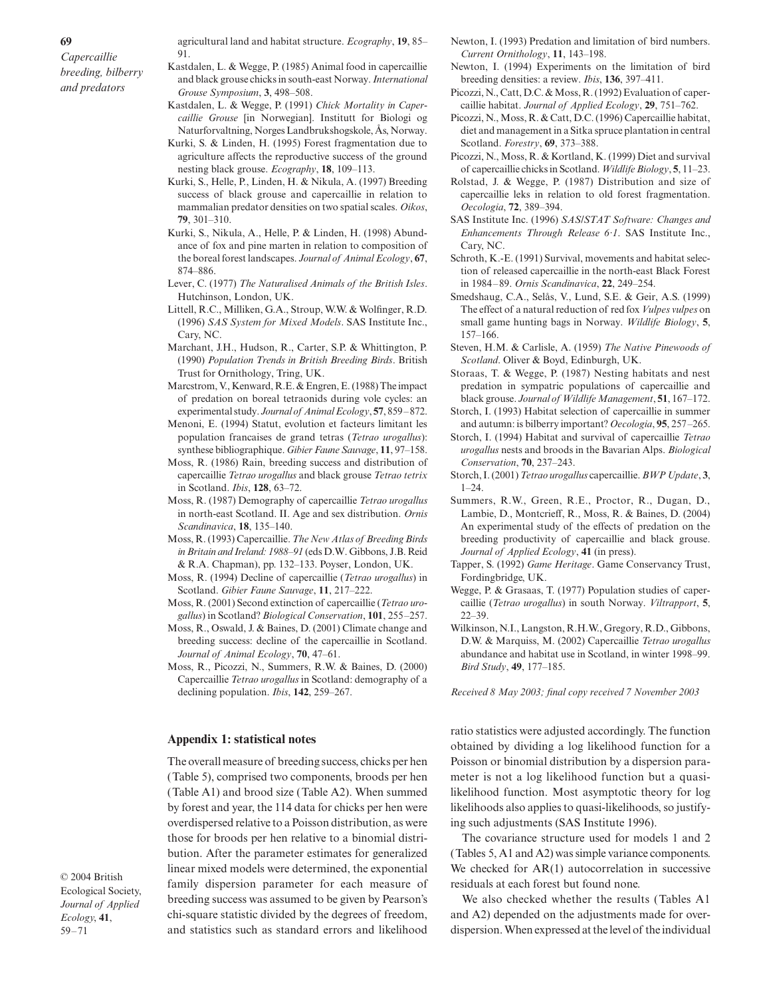- agricultural land and habitat structure. *Ecography*, **19**, 85– 91.
- Kastdalen, L. & Wegge, P. (1985) Animal food in capercaillie and black grouse chicks in south-east Norway. *International Grouse Symposium*, **3**, 498–508.
- Kastdalen, L. & Wegge, P. (1991) *Chick Mortality in Capercaillie Grouse* [in Norwegian]. Institutt for Biologi og Naturforvaltning, Norges Landbrukshogskole, Ås, Norway.
- Kurki, S. & Linden, H. (1995) Forest fragmentation due to agriculture affects the reproductive success of the ground nesting black grouse. *Ecography*, **18**, 109–113.
- Kurki, S., Helle, P., Linden, H. & Nikula, A. (1997) Breeding success of black grouse and capercaillie in relation to mammalian predator densities on two spatial scales. *Oikos*, **79**, 301–310.
- Kurki, S., Nikula, A., Helle, P. & Linden, H. (1998) Abundance of fox and pine marten in relation to composition of the boreal forest landscapes. *Journal of Animal Ecology*, **67**, 874–886.
- Lever, C. (1977) *The Naturalised Animals of the British Isles*. Hutchinson, London, UK.
- Littell, R.C., Milliken, G.A., Stroup, W.W. & Wolfinger, R.D. (1996) *SAS System for Mixed Models*. SAS Institute Inc., Cary, NC.
- Marchant, J.H., Hudson, R., Carter, S.P. & Whittington, P. (1990) *Population Trends in British Breeding Birds*. British Trust for Ornithology, Tring, UK.
- Marcstrom, V., Kenward, R.E. & Engren, E. (1988) The impact of predation on boreal tetraonids during vole cycles: an experimental study. *Journal of Animal Ecology*, **57**, 859–872.
- Menoni, E. (1994) Statut, evolution et facteurs limitant les population francaises de grand tetras (*Tetrao urogallus*): synthese bibliographique. *Gibier Faune Sauvage*, **11**, 97–158.
- Moss, R. (1986) Rain, breeding success and distribution of capercaillie *Tetrao urogallus* and black grouse *Tetrao tetrix* in Scotland. *Ibis*, **128**, 63–72.
- Moss, R. (1987) Demography of capercaillie *Tetrao urogallus* in north-east Scotland. II. Age and sex distribution. *Ornis Scandinavica*, **18**, 135–140.
- Moss, R. (1993) Capercaillie. *The New Atlas of Breeding Birds in Britain and Ireland: 1988–91* (eds D.W. Gibbons, J.B. Reid & R.A. Chapman), pp. 132–133. Poyser, London, UK.
- Moss, R. (1994) Decline of capercaillie (*Tetrao urogallus*) in Scotland. *Gibier Faune Sauvage*, **11**, 217–222.
- Moss, R. (2001) Second extinction of capercaillie (*Tetrao urogallus*) in Scotland? *Biological Conservation*, **101**, 255–257.
- Moss, R., Oswald, J. & Baines, D. (2001) Climate change and breeding success: decline of the capercaillie in Scotland. *Journal of Animal Ecology*, **70**, 47–61.
- Moss, R., Picozzi, N., Summers, R.W. & Baines, D. (2000) Capercaillie *Tetrao urogallus* in Scotland: demography of a declining population. *Ibis*, **142**, 259–267.

#### **Appendix 1: statistical notes**

The overall measure of breeding success, chicks per hen (Table 5), comprised two components, broods per hen (Table A1) and brood size (Table A2). When summed by forest and year, the 114 data for chicks per hen were overdispersed relative to a Poisson distribution, as were those for broods per hen relative to a binomial distribution. After the parameter estimates for generalized linear mixed models were determined, the exponential family dispersion parameter for each measure of breeding success was assumed to be given by Pearson's chi-square statistic divided by the degrees of freedom, and statistics such as standard errors and likelihood

© 2004 British Ecological Society, *Journal of Applied Ecology*, **41**, 59–71

- Newton, I. (1993) Predation and limitation of bird numbers. *Current Ornithology*, **11**, 143–198.
- Newton, I. (1994) Experiments on the limitation of bird breeding densities: a review. *Ibis*, **136**, 397–411.
- Picozzi, N., Catt, D.C. & Moss, R. (1992) Evaluation of capercaillie habitat. *Journal of Applied Ecology*, **29**, 751–762.
- Picozzi, N., Moss, R. & Catt, D.C. (1996) Capercaillie habitat, diet and management in a Sitka spruce plantation in central Scotland. *Forestry*, **69**, 373–388.
- Picozzi, N., Moss, R. & Kortland, K. (1999) Diet and survival of capercaillie chicks in Scotland. *Wildlife Biology*, **5**, 11–23.
- Rolstad, J. & Wegge, P. (1987) Distribution and size of capercaillie leks in relation to old forest fragmentation. *Oecologia*, **72**, 389–394.
- SAS Institute Inc. (1996) *SAS/STAT Software: Changes and Enhancements Through Release 6*·*1*. SAS Institute Inc., Cary, NC.
- Schroth, K.-E. (1991) Survival, movements and habitat selection of released capercaillie in the north-east Black Forest in 1984–89. *Ornis Scandinavica*, **22**, 249–254.
- Smedshaug, C.A., Selås, V., Lund, S.E. & Geir, A.S. (1999) The effect of a natural reduction of red fox *Vulpes vulpes* on small game hunting bags in Norway. *Wildlife Biology*, **5**, 157–166.
- Steven, H.M. & Carlisle, A. (1959) *The Native Pinewoods of Scotland*. Oliver & Boyd, Edinburgh, UK.
- Storaas, T. & Wegge, P. (1987) Nesting habitats and nest predation in sympatric populations of capercaillie and black grouse. *Journal of Wildlife Management*, **51**, 167–172.
- Storch, I. (1993) Habitat selection of capercaillie in summer and autumn: is bilberry important? *Oecologia*, **95**, 257–265.
- Storch, I. (1994) Habitat and survival of capercaillie *Tetrao urogallus* nests and broods in the Bavarian Alps. *Biological Conservation*, **70**, 237–243.
- Storch, I. (2001) *Tetrao urogallus* capercaillie. *BWP Update*, **3**,  $1 - 24$ .
- Summers, R.W., Green, R.E., Proctor, R., Dugan, D., Lambie, D., Montcrieff, R., Moss, R. & Baines, D. (2004) An experimental study of the effects of predation on the breeding productivity of capercaillie and black grouse. *Journal of Applied Ecology*, **41** (in press).
- Tapper, S. (1992) *Game Heritage*. Game Conservancy Trust, Fordingbridge, UK.
- Wegge, P. & Grasaas, T. (1977) Population studies of capercaillie (*Tetrao urogallus*) in south Norway. *Viltrapport*, **5**, 22–39.
- Wilkinson, N.I., Langston, R.H.W., Gregory, R.D., Gibbons, D.W. & Marquiss, M. (2002) Capercaillie *Tetrao urogallus* abundance and habitat use in Scotland, in winter 1998–99. *Bird Study*, **49**, 177–185.

*Received 8 May 2003; final copy received 7 November 2003*

ratio statistics were adjusted accordingly. The function obtained by dividing a log likelihood function for a Poisson or binomial distribution by a dispersion parameter is not a log likelihood function but a quasilikelihood function. Most asymptotic theory for log likelihoods also applies to quasi-likelihoods, so justifying such adjustments (SAS Institute 1996).

The covariance structure used for models 1 and 2 (Tables 5, A1 and A2) was simple variance components. We checked for AR(1) autocorrelation in successive residuals at each forest but found none.

We also checked whether the results (Tables A1 and A2) depended on the adjustments made for overdispersion. When expressed at the level of the individual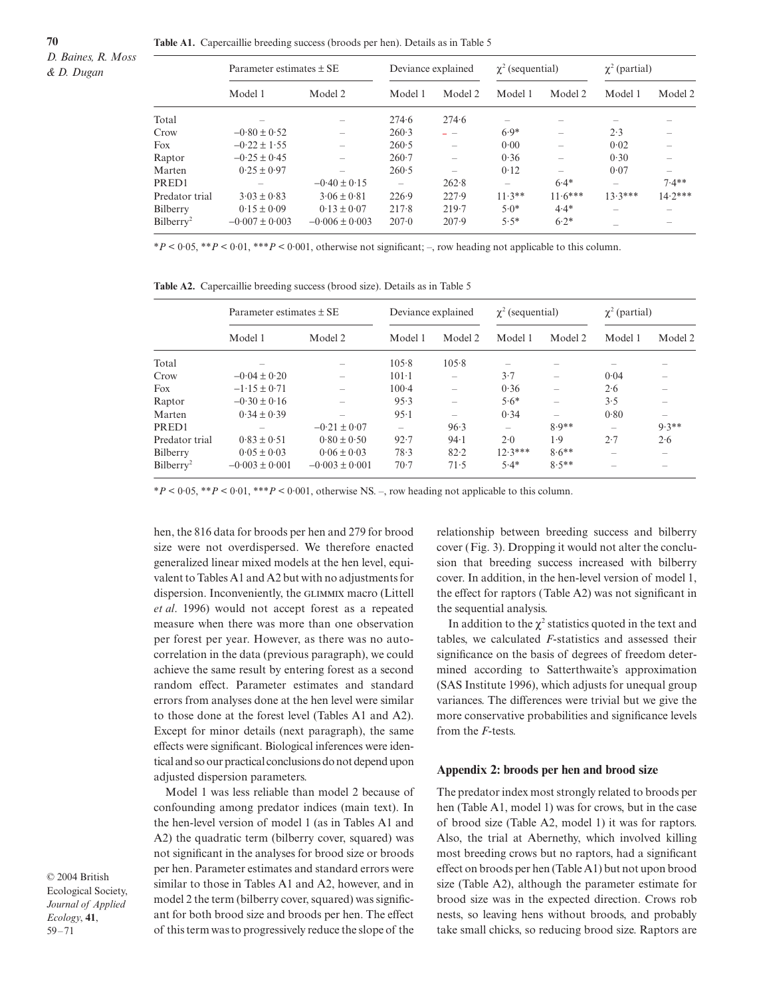**70**

|                       | Parameter estimates $\pm$ SE |                    | Deviance explained |                          | $\chi^2$ (sequential) |           | $\chi^2$ (partial) |                          |
|-----------------------|------------------------------|--------------------|--------------------|--------------------------|-----------------------|-----------|--------------------|--------------------------|
|                       | Model 1                      | Model 2            | Model 1            | Model 2                  | Model 1               | Model 2   | Model 1            | Model 2                  |
| Total                 |                              |                    | 274.6              | 274.6                    |                       |           |                    |                          |
| Crow                  | $-0.80 \pm 0.52$             |                    | 260.3              |                          | $6.9*$                |           | 2.3                |                          |
| Fox                   | $-0.22 \pm 1.55$             |                    | 260.5              | $\overline{\phantom{a}}$ | 0.00                  |           | 0.02               |                          |
| Raptor                | $-0.25 \pm 0.45$             |                    | $260-7$            | $\overline{\phantom{0}}$ | 0.36                  |           | 0.30               |                          |
| Marten                | $0.25 \pm 0.97$              |                    | 260.5              |                          | 0.12                  | -         | 0.07               | $\overline{\phantom{a}}$ |
| PRED1                 |                              | $-0.40 \pm 0.15$   |                    | 262.8                    |                       | $6.4*$    |                    | $7.4**$                  |
| Predator trial        | $3.03 \pm 0.83$              | $3.06 \pm 0.81$    | 226.9              | 227.9                    | $11.3**$              | $11.6***$ | $13.3***$          | $14.2***$                |
| Bilberry              | $0.15 \pm 0.09$              | $0.13 \pm 0.07$    | 217.8              | 219.7                    | $5.0*$                | $4.4*$    |                    |                          |
| Bilberry <sup>2</sup> | $-0.007 \pm 0.003$           | $-0.006 \pm 0.003$ | $207-0$            | 207.9                    | $5.5*$                | $6.2*$    |                    |                          |

\**P* < 0·05, \*\**P* < 0·01, \*\*\**P* < 0·001, otherwise not significant; –, row heading not applicable to this column.

|  |  | <b>Table A2.</b> Capercaillie breeding success (brood size). Details as in Table 5 |  |  |  |  |  |
|--|--|------------------------------------------------------------------------------------|--|--|--|--|--|
|--|--|------------------------------------------------------------------------------------|--|--|--|--|--|

|                       | Parameter estimates $\pm$ SE |                    | Deviance explained       |         | $\chi^2$ (sequential) |                          | $\chi^2$ (partial) |                                       |
|-----------------------|------------------------------|--------------------|--------------------------|---------|-----------------------|--------------------------|--------------------|---------------------------------------|
|                       | Model 1                      | Model 2            | Model 1                  | Model 2 | Model 1               | Model 2                  | Model 1            | Model 2                               |
| Total                 |                              |                    | 105.8                    | 105.8   |                       |                          |                    |                                       |
| Crow                  | $-0.04 \pm 0.20$             |                    | $101-1$                  |         | 3.7                   | $\overline{\phantom{a}}$ | 0.04               |                                       |
| Fox                   | $-1.15 \pm 0.71$             |                    | $100-4$                  |         | 0.36                  |                          | 2.6                |                                       |
| Raptor                | $-0.30 \pm 0.16$             |                    | 95.3                     |         | $5.6*$                | $\overline{\phantom{a}}$ | 3.5                | $\hspace{1.0cm} \rule{1.5cm}{0.15cm}$ |
| Marten                | $0.34 \pm 0.39$              |                    | $95-1$                   | -       | 0.34                  | $\overline{\phantom{a}}$ | 0.80               | $\hspace{1.0cm} \rule{1.5cm}{0.15cm}$ |
| PRED1                 |                              | $-0.21 \pm 0.07$   | $\overline{\phantom{a}}$ | 96.3    |                       | $8.9**$                  |                    | $9.3**$                               |
| Predator trial        | $0.83 \pm 0.51$              | $0.80 \pm 0.50$    | 92.7                     | 94.1    | 2.0                   | 1.9                      | 2.7                | 2.6                                   |
| Bilberry              | $0.05 \pm 0.03$              | $0.06 \pm 0.03$    | 78.3                     | 82.2    | $12.3***$             | $8.6**$                  |                    |                                       |
| Bilberry <sup>2</sup> | $-0.003 \pm 0.001$           | $-0.003 \pm 0.001$ | $70-7$                   | 71.5    | $5.4*$                | $8.5**$                  | -                  |                                       |

 $*P < 0.05$ ,  $*P < 0.01$ ,  $**P < 0.001$ , otherwise NS. –, row heading not applicable to this column.

hen, the 816 data for broods per hen and 279 for brood size were not overdispersed. We therefore enacted generalized linear mixed models at the hen level, equivalent to Tables A1 and A2 but with no adjustments for dispersion. Inconveniently, the GLIMMIX macro (Littell *et al*. 1996) would not accept forest as a repeated measure when there was more than one observation per forest per year. However, as there was no autocorrelation in the data (previous paragraph), we could achieve the same result by entering forest as a second random effect. Parameter estimates and standard errors from analyses done at the hen level were similar to those done at the forest level (Tables A1 and A2). Except for minor details (next paragraph), the same effects were significant. Biological inferences were identical and so our practical conclusions do not depend upon adjusted dispersion parameters.

Model 1 was less reliable than model 2 because of confounding among predator indices (main text). In the hen-level version of model 1 (as in Tables A1 and A2) the quadratic term (bilberry cover, squared) was not significant in the analyses for brood size or broods per hen. Parameter estimates and standard errors were similar to those in Tables A1 and A2, however, and in model 2 the term (bilberry cover, squared) was significant for both brood size and broods per hen. The effect of this term was to progressively reduce the slope of the

relationship between breeding success and bilberry cover (Fig. 3). Dropping it would not alter the conclusion that breeding success increased with bilberry cover. In addition, in the hen-level version of model 1, the effect for raptors (Table A2) was not significant in the sequential analysis.

In addition to the  $\chi^2$  statistics quoted in the text and tables, we calculated *F*-statistics and assessed their significance on the basis of degrees of freedom determined according to Satterthwaite's approximation (SAS Institute 1996), which adjusts for unequal group variances. The differences were trivial but we give the more conservative probabilities and significance levels from the *F*-tests.

#### **Appendix 2: broods per hen and brood size**

The predator index most strongly related to broods per hen (Table A1, model 1) was for crows, but in the case of brood size (Table A2, model 1) it was for raptors. Also, the trial at Abernethy, which involved killing most breeding crows but no raptors, had a significant effect on broods per hen (Table A1) but not upon brood size (Table A2), although the parameter estimate for brood size was in the expected direction. Crows rob nests, so leaving hens without broods, and probably take small chicks, so reducing brood size. Raptors are